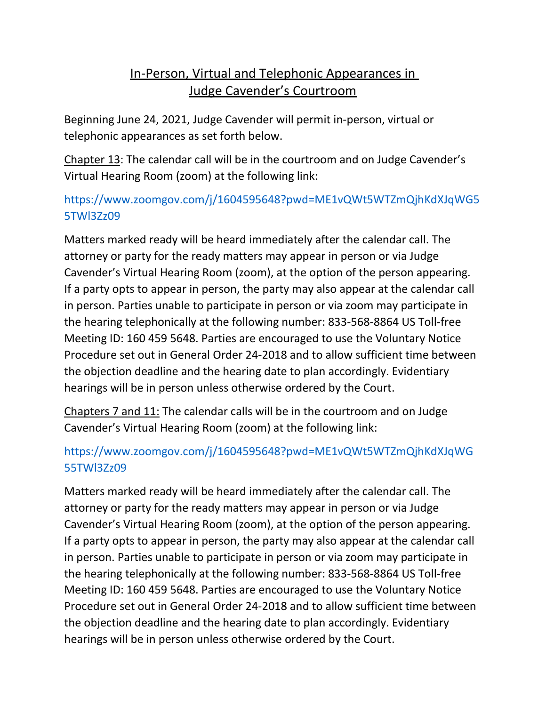## In-Person, Virtual and Telephonic Appearances in Judge Cavender's Courtroom

Beginning June 24, 2021, Judge Cavender will permit in-person, virtual or telephonic appearances as set forth below.

Chapter 13: The calendar call will be in the courtroom and on Judge Cavender's Virtual Hearing Room (zoom) at the following link:

## https://www.zoomgov.com/j/1604595648?pwd=ME1vQWt5WTZmQjhKdXJqWG5 5TWl3Zz09

Matters marked ready will be heard immediately after the calendar call. The attorney or party for the ready matters may appear in person or via Judge Cavender's Virtual Hearing Room (zoom), at the option of the person appearing. If a party opts to appear in person, the party may also appear at the calendar call in person. Parties unable to participate in person or via zoom may participate in the hearing telephonically at the following number: 833-568-8864 US Toll-free Meeting ID: 160 459 5648. Parties are encouraged to use the Voluntary Notice Procedure set out in General Order 24-2018 and to allow sufficient time between the objection deadline and the hearing date to plan accordingly. Evidentiary hearings will be in person unless otherwise ordered by the Court.

Chapters 7 and 11: The calendar calls will be in the courtroom and on Judge Cavender's Virtual Hearing Room (zoom) at the following link:

## https://www.zoomgov.com/j/1604595648?pwd=ME1vQWt5WTZmQjhKdXJqWG 55TWl3Zz09

Matters marked ready will be heard immediately after the calendar call. The attorney or party for the ready matters may appear in person or via Judge Cavender's Virtual Hearing Room (zoom), at the option of the person appearing. If a party opts to appear in person, the party may also appear at the calendar call in person. Parties unable to participate in person or via zoom may participate in the hearing telephonically at the following number: 833-568-8864 US Toll-free Meeting ID: 160 459 5648. Parties are encouraged to use the Voluntary Notice Procedure set out in General Order 24-2018 and to allow sufficient time between the objection deadline and the hearing date to plan accordingly. Evidentiary hearings will be in person unless otherwise ordered by the Court.